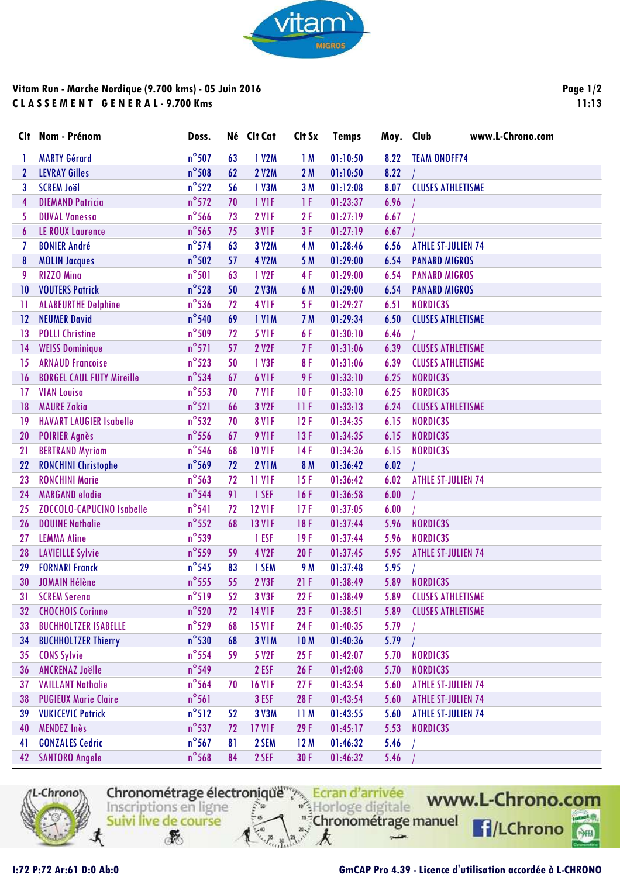

## **Vitam Run - Marche Nordique (9.700 kms) - 05 Juin 2016 C L A S S E M E N T G E N E R A L - 9.700 Kms**

| Clt              | Nom - Prénom                     | Doss.           |    | Né Clt Cat        | Clt Sx          | <b>Temps</b> | Moy. Club | www.L-Chrono.com          |
|------------------|----------------------------------|-----------------|----|-------------------|-----------------|--------------|-----------|---------------------------|
|                  | <b>MARTY Gérard</b>              | $n^{\circ}$ 507 | 63 | 1 V2M             | 1M              | 01:10:50     | 8.22      | <b>TEAM ONOFF74</b>       |
| $\boldsymbol{2}$ | <b>LEVRAY Gilles</b>             | $n^{\circ}$ 508 | 62 | <b>2 V2M</b>      | 2M              | 01:10:50     | 8.22      |                           |
| 3                | <b>SCREM Joël</b>                | $n^{\circ}522$  | 56 | 1 V3M             | 3M              | 01:12:08     | 8.07      | <b>CLUSES ATHLETISME</b>  |
| 4                | <b>DIEMAND Patricia</b>          | $n^{\circ}572$  | 70 | 1 VIF             | 1F              | 01:23:37     | 6.96      |                           |
| 5                | <b>DUVAL Vanessa</b>             | $n^{\circ}$ 566 | 73 | 2 VIF             | 2F              | 01:27:19     | 6.67      |                           |
| 6                | <b>LE ROUX Laurence</b>          | $n^{\circ}$ 565 | 75 | <b>3 V1F</b>      | 3F              | 01:27:19     | 6.67      |                           |
| 7                | <b>BONIER André</b>              | $n^{\circ}$ 574 | 63 | 3 V2M             | 4 M             | 01:28:46     | 6.56      | <b>ATHLE ST-JULIEN 74</b> |
| 8                | <b>MOLIN Jacques</b>             | $n^{\circ}502$  | 57 | 4 V2M             | 5 M             | 01:29:00     | 6.54      | <b>PANARD MIGROS</b>      |
| 9                | <b>RIZZO Mina</b>                | $n^{\circ}501$  | 63 | 1 V2F             | 4F              | 01:29:00     | 6.54      | <b>PANARD MIGROS</b>      |
| 10               | <b>VOUTERS Patrick</b>           | $n^{\circ}$ 528 | 50 | 2 V3M             | 6 M             | 01:29:00     | 6.54      | <b>PANARD MIGROS</b>      |
| $\mathbf{1}$     | <b>ALABEURTHE Delphine</b>       | $n^{\circ}$ 536 | 72 | 4 VIF             | 5F              | 01:29:27     | 6.51      | NORDIC3S                  |
| 12               | <b>NEUMER David</b>              | $n^{\circ}$ 540 | 69 | <b>IVIM</b>       | 7 M             | 01:29:34     | 6.50      | <b>CLUSES ATHLETISME</b>  |
| $\overline{13}$  | <b>POLLI Christine</b>           | $n^{\circ}$ 509 | 72 | <b>5 V1F</b>      | 6F              | 01:30:10     | 6.46      |                           |
| 14               | <b>WEISS Dominique</b>           | $n^{\circ}571$  | 57 | 2 V2F             | 7F              | 01:31:06     | 6.39      | <b>CLUSES ATHLETISME</b>  |
| 15               | <b>ARNAUD Francoise</b>          | $n^{\circ}$ 523 | 50 | 1 V3F             | 8F              | 01:31:06     | 6.39      | <b>CLUSES ATHLETISME</b>  |
| 16               | <b>BORGEL CAUL FUTY Mireille</b> | $n^{\circ}$ 534 | 67 | 6 V <sub>IF</sub> | 9F              | 01:33:10     | 6.25      | NORDIC3S                  |
| 17               | <b>VIAN Louisa</b>               | $n^{\circ}$ 553 | 70 | 7 VIF             | 10F             | 01:33:10     | 6.25      | NORDIC3S                  |
| 18               | <b>MAURE Zakia</b>               | $n^{\circ}521$  | 66 | 3 V2F             | 11F             | 01:33:13     | 6.24      | <b>CLUSES ATHLETISME</b>  |
| 19               | <b>HAVART LAUGIER Isabelle</b>   | $n^{\circ}$ 532 | 70 | <b>8 V1F</b>      | 12F             | 01:34:35     | 6.15      | NORDIC3S                  |
| 20               | <b>POIRIER Agnès</b>             | $n^{\circ}$ 556 | 67 | <b>9 V1F</b>      | 13F             | 01:34:35     | 6.15      | NORDIC3S                  |
| 21               | <b>BERTRAND Myriam</b>           | $n^{\circ}$ 546 | 68 | <b>10 V1F</b>     | 14F             | 01:34:36     | 6.15      | NORDIC3S                  |
| 22               | <b>RONCHINI Christophe</b>       | $n^{\circ}$ 569 | 72 | <b>2 V1M</b>      | 8 M             | 01:36:42     | 6.02      |                           |
| 23               | <b>RONCHINI Marie</b>            | $n^{\circ}$ 563 | 72 | 11 VIF            | 15F             | 01:36:42     | 6.02      | <b>ATHLE ST-JULIEN 74</b> |
| 24               | <b>MARGAND</b> elodie            | $n^{\circ}$ 544 | 91 | 1 SEF             | 16F             | 01:36:58     | 6.00      |                           |
| 25               | <b>ZOCCOLO-CAPUCINO Isabelle</b> | $n^{\circ}541$  | 72 | <b>12 V1F</b>     | 17F             | 01:37:05     | 6.00      |                           |
| 26               | <b>DOUINE Nathalie</b>           | $n^{\circ}$ 552 | 68 | <b>13 V1F</b>     | 18F             | 01:37:44     | 5.96      | NORDIC3S                  |
| 27               | <b>LEMMA Aline</b>               | $n^{\circ}$ 539 |    | 1 ESF             | 19F             | 01:37:44     | 5.96      | NORDIC3S                  |
| 28               | <b>LAVIEILLE Sylvie</b>          | $n^{\circ}$ 559 | 59 | 4 V2F             | 20F             | 01:37:45     | 5.95      | <b>ATHLE ST-JULIEN 74</b> |
| 29               | <b>FORNARI Franck</b>            | $n^{\circ}$ 545 | 83 | 1 SEM             | 9 M             | 01:37:48     | 5.95      |                           |
| 30               | <b>JOMAIN Hélène</b>             | $n^{\circ}$ 555 | 55 | 2 V3F             | 21F             | 01:38:49     | 5.89      | NORDIC3S                  |
| 31               | <b>SCREM Serena</b>              | $n^{\circ}519$  | 52 | 3 V3F             | 22F             | 01:38:49     | 5.89      | <b>CLUSES ATHLETISME</b>  |
| 32               | <b>CHOCHOIS Corinne</b>          | $n^{\circ}520$  | 72 | <b>14 V1F</b>     | 23F             | 01:38:51     | 5.89      | <b>CLUSES ATHLETISME</b>  |
| 33               | <b>BUCHHOLTZER ISABELLE</b>      | $n^{\circ}$ 529 | 68 | <b>15 V1F</b>     | 24F             | 01:40:35     | 5.79      |                           |
| 34               | <b>BUCHHOLTZER Thierry</b>       | $n^{\circ}$ 530 | 68 | <b>3 V1M</b>      | 10 <sub>M</sub> | 01:40:36     | 5.79      |                           |
| 35               | <b>CONS Sylvie</b>               | $n^{\circ}$ 554 | 59 | 5 V2F             | 25F             | 01:42:07     | 5.70      | NORDIC3S                  |
| 36               | <b>ANCRENAZ Joëlle</b>           | $n^{\circ}$ 549 |    | 2 ESF             | 26 F            | 01:42:08     | 5.70      | NORDIC3S                  |
| 37               | <b>VAILLANT Nathalie</b>         | $n^{\circ}$ 564 | 70 | <b>16 V1F</b>     | 27F             | 01:43:54     | 5.60      | <b>ATHLE ST-JULIEN 74</b> |
| 38               | <b>PUGIEUX Marie Claire</b>      | $n^{\circ}$ 561 |    | 3 ESF             | 28F             | 01:43:54     | 5.60      | <b>ATHLE ST-JULIEN 74</b> |
| 39               | <b>VUKICEVIC Patrick</b>         | $n^{\circ}512$  | 52 | 3 V3M             | 11M             | 01:43:55     | 5.60      | <b>ATHLE ST-JULIEN 74</b> |
| 40               | <b>MENDEZ Inès</b>               | $n^{\circ}$ 537 | 72 | <b>17 V1F</b>     | 29F             | 01:45:17     | 5.53      | NORDIC3S                  |
| 41               | <b>GONZALES Cedric</b>           | $n^{\circ}$ 567 | 81 | 2 SEM             | 12M             | 01:46:32     | 5.46      |                           |
| 42               | <b>SANTORO Angele</b>            | $n^{\circ}$ 568 | 84 | 2 SEF             | 30F             | 01:46:32     | 5.46      |                           |



Chronométrage électronique<sup>ment</sup> Ecran d'arrivée "<sup>#</sup>Chronométrage manuel Suivi live de course

k

 $\rightarrow$ 

 $\mathcal{F}$